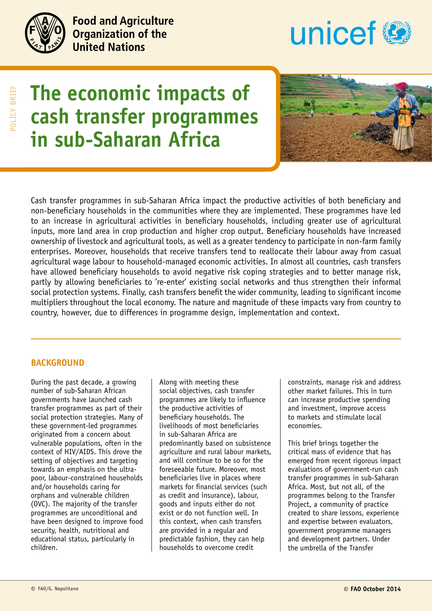

**Food and Agriculture Organization of the United Nations** 



# **The economic impacts of cash transfer programmes in sub-Saharan Africa**



Cash transfer programmes in sub-Saharan Africa impact the productive activities of both beneficiary and non-beneficiary households in the communities where they are implemented. These programmes have led to an increase in agricultural activities in beneficiary households, including greater use of agricultural inputs, more land area in crop production and higher crop output. Beneficiary households have increased ownership of livestock and agricultural tools, as well as a greater tendency to participate in non-farm family enterprises. Moreover, households that receive transfers tend to reallocate their labour away from casual agricultural wage labour to household-managed economic activities. In almost all countries, cash transfers have allowed beneficiary households to avoid negative risk coping strategies and to better manage risk, partly by allowing beneficiaries to 're-enter' existing social networks and thus strengthen their informal social protection systems. Finally, cash transfers benefit the wider community, leading to significant income multipliers throughout the local economy. The nature and magnitude of these impacts vary from country to country, however, due to differences in programme design, implementation and context.

## **Background**

During the past decade, a growing number of sub-Saharan African governments have launched cash transfer programmes as part of their social protection strategies. Many of these government-led programmes originated from a concern about vulnerable populations, often in the context of HIV/AIDS. This drove the setting of objectives and targeting towards an emphasis on the ultrapoor, labour-constrained households and/or households caring for orphans and vulnerable children (OVC). The majority of the transfer programmes are unconditional and have been designed to improve food security, health, nutritional and educational status, particularly in children.

Along with meeting these social objectives, cash transfer programmes are likely to influence the productive activities of beneficiary households. The livelihoods of most beneficiaries in sub-Saharan Africa are predominantly based on subsistence agriculture and rural labour markets, and will continue to be so for the foreseeable future. Moreover, most beneficiaries live in places where markets for financial services (such as credit and insurance), labour, goods and inputs either do not exist or do not function well. In this context, when cash transfers are provided in a regular and predictable fashion, they can help households to overcome credit

constraints, manage risk and address other market failures. This in turn can increase productive spending and investment, improve access to markets and stimulate local economies.

This brief brings together the critical mass of evidence that has emerged from recent rigorous impact evaluations of government-run cash transfer programmes in sub-Saharan Africa. Most, but not all, of the programmes belong to the Transfer Project, a community of practice created to share lessons, experience and expertise between evaluators, government programme managers and development partners. Under the umbrella of the Transfer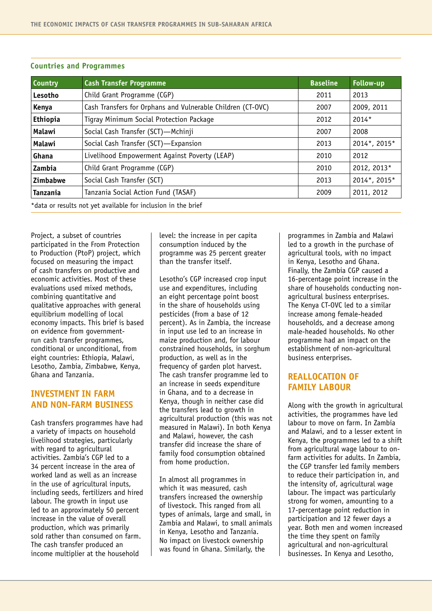| <b>Country</b>                                                | <b>Cash Transfer Programme</b>                              | <b>Baseline</b> | <b>Follow-up</b> |
|---------------------------------------------------------------|-------------------------------------------------------------|-----------------|------------------|
| Lesotho                                                       | Child Grant Programme (CGP)                                 | 2011            | 2013             |
| Kenya                                                         | Cash Transfers for Orphans and Vulnerable Children (CT-OVC) | 2007            | 2009, 2011       |
| Ethiopia                                                      | Tigray Minimum Social Protection Package                    | 2012            | 2014*            |
| Malawi                                                        | Social Cash Transfer (SCT)-Mchinji                          | 2007            | 2008             |
| Malawi                                                        | Social Cash Transfer (SCT)-Expansion                        | 2013            | 2014*, 2015*     |
| Ghana                                                         | Livelihood Empowerment Against Poverty (LEAP)               | 2010            | 2012             |
| Zambia                                                        | Child Grant Programme (CGP)                                 | 2010            | 2012, 2013*      |
| <b>Zimbabwe</b>                                               | Social Cash Transfer (SCT)                                  | 2013            | 2014*, 2015*     |
| <b>Tanzania</b>                                               | Tanzania Social Action Fund (TASAF)                         | 2009            | 2011, 2012       |
| *data or results not yet available for inclusion in the brief |                                                             |                 |                  |

#### **Countries and Programmes**

Project, a subset of countries participated in the From Protection to Production (PtoP) project, which focused on measuring the impact of cash transfers on productive and economic activities. Most of these evaluations used mixed methods, combining quantitative and qualitative approaches with general equilibrium modelling of local economy impacts. This brief is based on evidence from governmentrun cash transfer programmes, conditional or unconditional, from eight countries: Ethiopia, Malawi, Lesotho, Zambia, Zimbabwe, Kenya, Ghana and Tanzania.

## **Investment in farm and non-farm business**

Cash transfers programmes have had a variety of impacts on household livelihood strategies, particularly with regard to agricultural activities. Zambia's CGP led to a 34 percent increase in the area of worked land as well as an increase in the use of agricultural inputs, including seeds, fertilizers and hired labour. The growth in input use led to an approximately 50 percent increase in the value of overall production, which was primarily sold rather than consumed on farm. The cash transfer produced an income multiplier at the household

level: the increase in per capita consumption induced by the programme was 25 percent greater than the transfer itself.

Lesotho's CGP increased crop input use and expenditures, including an eight percentage point boost in the share of households using pesticides (from a base of 12 percent). As in Zambia, the increase in input use led to an increase in maize production and, for labour constrained households, in sorghum production, as well as in the frequency of garden plot harvest. The cash transfer programme led to an increase in seeds expenditure in Ghana, and to a decrease in Kenya, though in neither case did the transfers lead to growth in agricultural production (this was not measured in Malawi). In both Kenya and Malawi, however, the cash transfer did increase the share of family food consumption obtained from home production.

In almost all programmes in which it was measured, cash transfers increased the ownership of livestock. This ranged from all types of animals, large and small, in Zambia and Malawi, to small animals in Kenya, Lesotho and Tanzania. No impact on livestock ownership was found in Ghana. Similarly, the

programmes in Zambia and Malawi led to a growth in the purchase of agricultural tools, with no impact in Kenya, Lesotho and Ghana. Finally, the Zambia CGP caused a 16-percentage point increase in the share of households conducting nonagricultural business enterprises. The Kenya CT-OVC led to a similar increase among female-headed households, and a decrease among male-headed households. No other programme had an impact on the establishment of non-agricultural business enterprises.

## **Reallocation of family labour**

Along with the growth in agricultural activities, the programmes have led labour to move on farm. In Zambia and Malawi, and to a lesser extent in Kenya, the programmes led to a shift from agricultural wage labour to onfarm activities for adults. In Zambia, the CGP transfer led family members to reduce their participation in, and the intensity of, agricultural wage labour. The impact was particularly strong for women, amounting to a 17-percentage point reduction in participation and 12 fewer days a year. Both men and women increased the time they spent on family agricultural and non-agricultural businesses. In Kenya and Lesotho,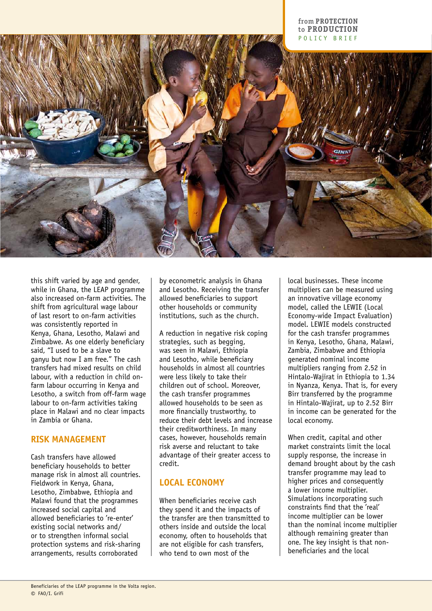#### from **PROTECTION** to **Production** policy brief



this shift varied by age and gender, while in Ghana, the LEAP programme also increased on-farm activities. The shift from agricultural wage labour of last resort to on-farm activities was consistently reported in Kenya, Ghana, Lesotho, Malawi and Zimbabwe. As one elderly beneficiary said, "I used to be a slave to ganyu but now I am free." The cash transfers had mixed results on child labour, with a reduction in child onfarm labour occurring in Kenya and Lesotho, a switch from off-farm wage labour to on-farm activities taking place in Malawi and no clear impacts in Zambia or Ghana.

#### **Risk management**

Cash transfers have allowed beneficiary households to better manage risk in almost all countries. Fieldwork in Kenya, Ghana, Lesotho, Zimbabwe, Ethiopia and Malawi found that the programmes increased social capital and allowed beneficiaries to 're-enter' existing social networks and/ or to strengthen informal social protection systems and risk-sharing arrangements, results corroborated

by econometric analysis in Ghana and Lesotho. Receiving the transfer allowed beneficiaries to support other households or community institutions, such as the church.

A reduction in negative risk coping strategies, such as begging, was seen in Malawi, Ethiopia and Lesotho, while beneficiary households in almost all countries were less likely to take their children out of school. Moreover, the cash transfer programmes allowed households to be seen as more financially trustworthy, to reduce their debt levels and increase their creditworthiness. In many cases, however, households remain risk averse and reluctant to take advantage of their greater access to credit.

## **Local economy**

When beneficiaries receive cash they spend it and the impacts of the transfer are then transmitted to others inside and outside the local economy, often to households that are not eligible for cash transfers, who tend to own most of the

local businesses. These income multipliers can be measured using an innovative village economy model, called the LEWIE (Local Economy-wide Impact Evaluation) model. LEWIE models constructed for the cash transfer programmes in Kenya, Lesotho, Ghana, Malawi, Zambia, Zimbabwe and Ethiopia generated nominal income multipliers ranging from 2.52 in Hintalo-Wajirat in Ethiopia to 1.34 in Nyanza, Kenya. That is, for every Birr transferred by the programme in Hintalo-Wajirat, up to 2.52 Birr in income can be generated for the local economy.

When credit, capital and other market constraints limit the local supply response, the increase in demand brought about by the cash transfer programme may lead to higher prices and consequently a lower income multiplier. Simulations incorporating such constraints find that the 'real' income multiplier can be lower than the nominal income multiplier although remaining greater than one. The key insight is that nonbeneficiaries and the local